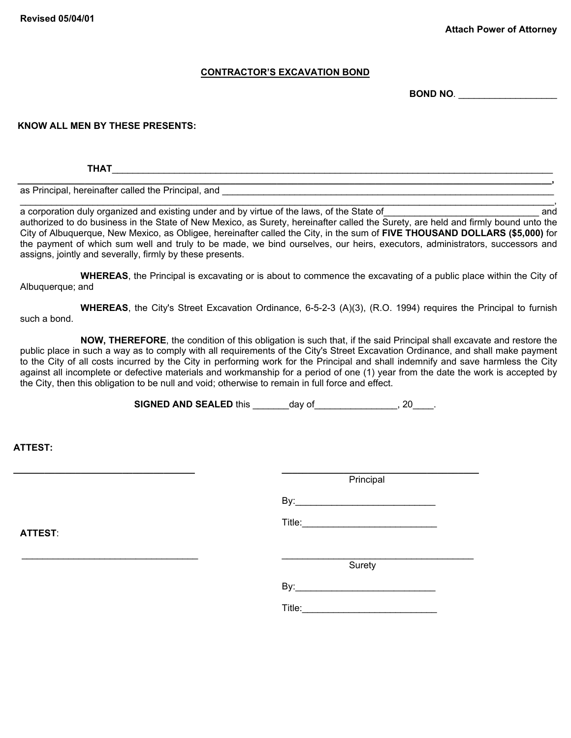## **CONTRACTOR'S EXCAVATION BOND**

**BOND NO***.* \_\_\_\_\_\_\_\_\_\_\_\_\_\_\_\_\_\_\_

## **KNOW ALL MEN BY THESE PRESENTS:**

**THAT**\_\_\_\_\_\_\_\_\_\_\_\_\_\_\_\_\_\_\_\_\_\_\_\_\_\_\_\_\_\_\_\_\_\_\_\_\_\_\_\_\_\_\_\_\_\_\_\_\_\_\_\_\_\_\_\_\_\_\_\_\_\_\_\_\_\_\_\_\_\_\_\_\_\_\_\_\_\_\_\_\_\_\_\_\_

as Principal, hereinafter called the Principal, and

a corporation duly organized and existing under and by virtue of the laws, of the State of  $\Box$ authorized to do business in the State of New Mexico, as Surety, hereinafter called the Surety, are held and firmly bound unto the City of Albuquerque, New Mexico, as Obligee, hereinafter called the City, in the sum of **FIVE THOUSAND DOLLARS (\$5,000)** for the payment of which sum well and truly to be made, we bind ourselves, our heirs, executors, administrators, successors and assigns, jointly and severally, firmly by these presents.

\_\_\_\_\_\_\_\_\_\_\_\_\_\_\_\_\_\_\_\_\_\_\_\_\_\_\_\_\_\_\_\_\_\_\_\_\_\_\_\_\_\_\_\_\_\_\_\_\_\_\_\_\_\_\_\_\_\_\_\_\_\_\_\_\_\_\_\_\_\_\_\_\_\_\_\_\_\_\_\_\_\_\_\_\_\_\_\_\_\_\_\_\_\_\_\_\_\_\_\_\_\_\_,

**WHEREAS**, the Principal is excavating or is about to commence the excavating of a public place within the City of Albuquerque; and

**WHEREAS**, the City's Street Excavation Ordinance, 6-5-2-3 (A)(3), (R.O. 1994) requires the Principal to furnish such a bond.

**NOW, THEREFORE**, the condition of this obligation is such that, if the said Principal shall excavate and restore the public place in such a way as to comply with all requirements of the City's Street Excavation Ordinance, and shall make payment to the City of all costs incurred by the City in performing work for the Principal and shall indemnify and save harmless the City against all incomplete or defective materials and workmanship for a period of one (1) year from the date the work is accepted by the City, then this obligation to be null and void; otherwise to remain in full force and effect.

**SIGNED AND SEALED** this \_\_\_\_\_\_\_day of\_\_\_\_\_\_\_\_\_\_\_\_\_\_, 20\_\_\_\_.

**ATTEST:** 

**\_\_\_\_\_\_\_\_\_\_\_\_\_\_\_\_\_\_\_\_\_\_\_\_\_\_\_\_\_\_\_\_\_\_\_ \_\_\_\_\_\_\_\_\_\_\_\_\_\_\_\_\_\_\_\_\_\_\_\_\_\_\_\_\_\_\_\_\_\_\_\_\_\_ Principal**  $\mathsf{By:}$ Title:\_\_\_\_\_\_\_\_\_\_\_\_\_\_\_\_\_\_\_\_\_\_\_\_\_\_ **ATTEST**:  $\_$  , and the set of the set of the set of the set of the set of the set of the set of the set of the set of the set of the set of the set of the set of the set of the set of the set of the set of the set of the set of th **Surety**  $\mathsf{By:}$ Title:\_\_\_\_\_\_\_\_\_\_\_\_\_\_\_\_\_\_\_\_\_\_\_\_\_\_